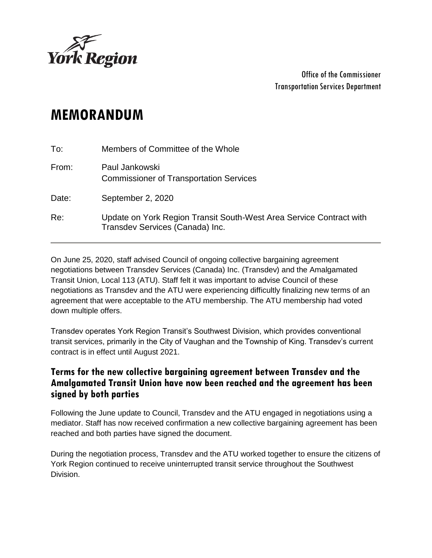

Office of the Commissioner Transportation Services Department

## **MEMORANDUM**

| To:   | Members of Committee of the Whole                                                                      |
|-------|--------------------------------------------------------------------------------------------------------|
| From: | Paul Jankowski<br><b>Commissioner of Transportation Services</b>                                       |
| Date: | September 2, 2020                                                                                      |
| Re:   | Update on York Region Transit South-West Area Service Contract with<br>Transdev Services (Canada) Inc. |

On June 25, 2020, staff advised Council of ongoing collective bargaining agreement negotiations between Transdev Services (Canada) Inc. (Transdev) and the Amalgamated Transit Union, Local 113 (ATU). Staff felt it was important to advise Council of these negotiations as Transdev and the ATU were experiencing difficultly finalizing new terms of an agreement that were acceptable to the ATU membership. The ATU membership had voted down multiple offers.

Transdev operates York Region Transit's Southwest Division, which provides conventional transit services, primarily in the City of Vaughan and the Township of King. Transdev's current contract is in effect until August 2021.

## **Terms for the new collective bargaining agreement between Transdev and the Amalgamated Transit Union have now been reached and the agreement has been signed by both parties**

Following the June update to Council, Transdev and the ATU engaged in negotiations using a mediator. Staff has now received confirmation a new collective bargaining agreement has been reached and both parties have signed the document.

During the negotiation process, Transdev and the ATU worked together to ensure the citizens of York Region continued to receive uninterrupted transit service throughout the Southwest Division.